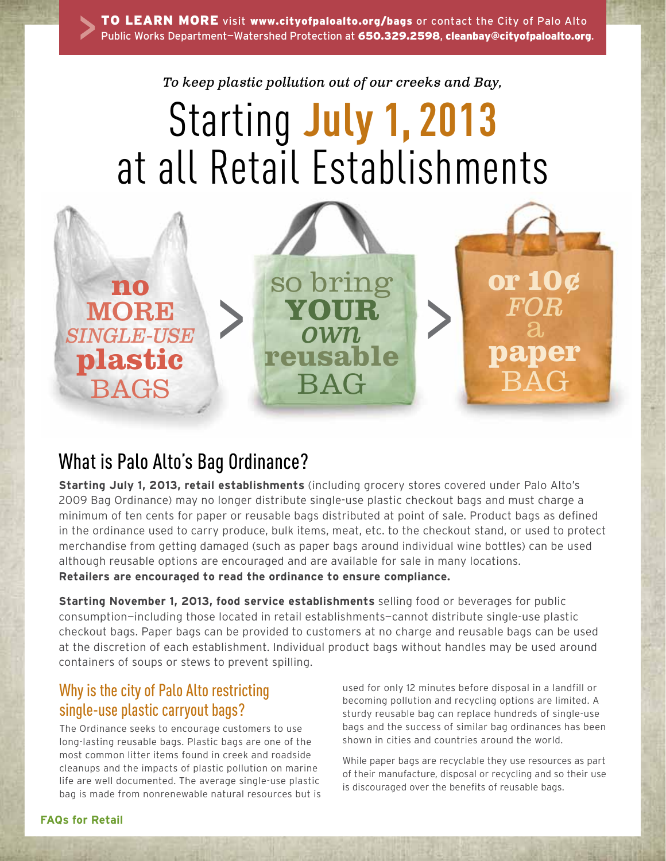*To keep plastic pollution out of our creeks and Bay,*

# Starting **July 1, 2013** at all Retail Establishments



# What is Palo Alto's Bag Ordinance?

**Starting July 1, 2013, retail establishments** (including grocery stores covered under Palo Alto's 2009 Bag Ordinance) may no longer distribute single-use plastic checkout bags and must charge a minimum of ten cents for paper or reusable bags distributed at point of sale. Product bags as defined in the ordinance used to carry produce, bulk items, meat, etc. to the checkout stand, or used to protect merchandise from getting damaged (such as paper bags around individual wine bottles) can be used although reusable options are encouraged and are available for sale in many locations. **Retailers are encouraged to read the ordinance to ensure compliance.**

**Starting November 1, 2013, food service establishments** selling food or beverages for public consumption—including those located in retail establishments—cannot distribute single-use plastic checkout bags. Paper bags can be provided to customers at no charge and reusable bags can be used at the discretion of each establishment. Individual product bags without handles may be used around containers of soups or stews to prevent spilling.

# Why is the city of Palo Alto restricting single-use plastic carryout bags?

The Ordinance seeks to encourage customers to use long-lasting reusable bags. Plastic bags are one of the most common litter items found in creek and roadside cleanups and the impacts of plastic pollution on marine life are well documented. The average single-use plastic bag is made from nonrenewable natural resources but is used for only 12 minutes before disposal in a landfill or becoming pollution and recycling options are limited. A sturdy reusable bag can replace hundreds of single-use bags and the success of similar bag ordinances has been shown in cities and countries around the world.

While paper bags are recyclable they use resources as part of their manufacture, disposal or recycling and so their use is discouraged over the benefits of reusable bags.